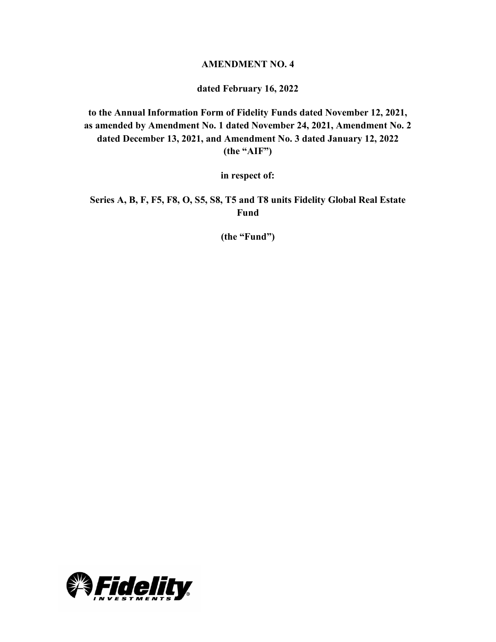### **AMENDMENT NO. 4**

#### **dated February 16, 2022**

**to the Annual Information Form of Fidelity Funds dated November 12, 2021, as amended by Amendment No. 1 dated November 24, 2021, Amendment No. 2 dated December 13, 2021, and Amendment No. 3 dated January 12, 2022 (the "AIF")**

**in respect of:**

**Series A, B, F, F5, F8, O, S5, S8, T5 and T8 units Fidelity Global Real Estate Fund**

**(the "Fund")**

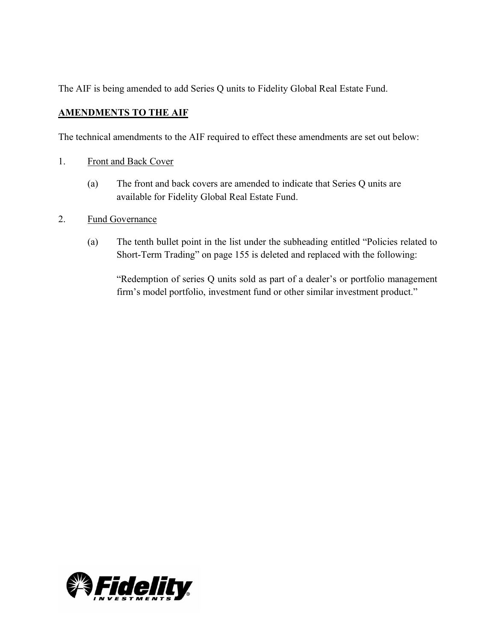The AIF is being amended to add Series Q units to Fidelity Global Real Estate Fund.

## **AMENDMENTS TO THE AIF**

The technical amendments to the AIF required to effect these amendments are set out below:

- 1. Front and Back Cover
	- (a) The front and back covers are amended to indicate that Series Q units are available for Fidelity Global Real Estate Fund.
- 2. Fund Governance
	- (a) The tenth bullet point in the list under the subheading entitled "Policies related to Short-Term Trading" on page 155 is deleted and replaced with the following:

"Redemption of series Q units sold as part of a dealer's or portfolio management firm's model portfolio, investment fund or other similar investment product."